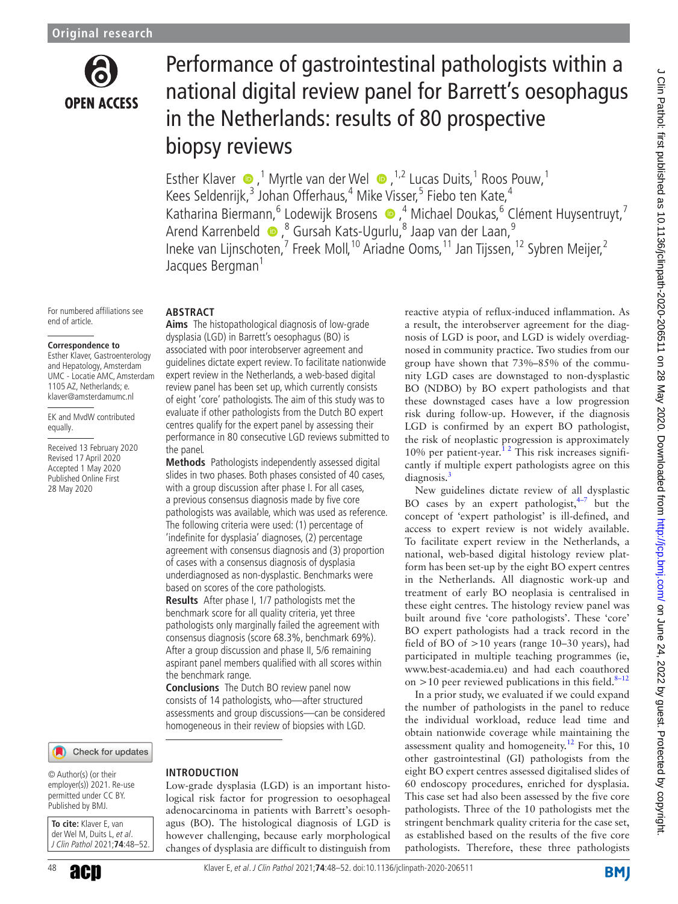

# Performance of gastrointestinal pathologists within a national digital review panel for Barrett's oesophagus in the Netherlands: results of 80 prospective biopsy reviews

EstherKlaver  $\bullet$ ,<sup>1</sup> Myrtle van der Wel  $\bullet$ ,<sup>1,2</sup> Lucas Duits,<sup>1</sup> Roos Pouw,<sup>1</sup> Kees Seldenrijk,<sup>3</sup> Johan Offerhaus,<sup>4</sup> Mike Visser,<sup>5</sup> Fiebo ten Kate,<sup>4</sup> Katharina Biermann, <sup>6</sup> Lodewijk Brosens  $\bullet$  , <sup>4</sup> Michael Doukas, <sup>6</sup> Clément Huysentruyt, <sup>7</sup> ArendKarrenbeld  $\bullet$ ,<sup>8</sup> Gursah Kats-Ugurlu,<sup>8</sup> Jaap van der Laan,<sup>9</sup> Ineke van Lijnschoten,<sup>7</sup> Freek Moll,<sup>10</sup> Ariadne Ooms,<sup>11</sup> Jan Tijssen,<sup>12</sup> Sybren Meijer,<sup>2</sup> Jacques Bergman<sup>1</sup>

For numbered affiliations see end of article.

**Abstract**

#### **Correspondence to**

Esther Klaver, Gastroenterology and Hepatology, Amsterdam UMC - Locatie AMC, Amsterdam 1105 AZ, Netherlands; e. klaver@amsterdamumc.nl

EK and MvdW contributed equally.

Received 13 February 2020 Revised 17 April 2020 Accepted 1 May 2020 Published Online First 28 May 2020

### Check for updates

© Author(s) (or their employer(s)) 2021. Re-use permitted under CC BY. Published by BMJ.

**To cite:** Klaver E, van der Wel M, Duits L, et al. J Clin Pathol 2021;**74**:48–52. **Aims** The histopathological diagnosis of low-grade dysplasia (LGD) in Barrett's oesophagus (BO) is associated with poor interobserver agreement and guidelines dictate expert review. To facilitate nationwide expert review in the Netherlands, a web-based digital review panel has been set up, which currently consists of eight 'core' pathologists. The aim of this study was to evaluate if other pathologists from the Dutch BO expert centres qualify for the expert panel by assessing their performance in 80 consecutive LGD reviews submitted to the panel.

**Methods** Pathologists independently assessed digital slides in two phases. Both phases consisted of 40 cases, with a group discussion after phase I. For all cases, a previous consensus diagnosis made by five core pathologists was available, which was used as reference. The following criteria were used: (1) percentage of 'indefinite for dysplasia' diagnoses, (2) percentage agreement with consensus diagnosis and (3) proportion of cases with a consensus diagnosis of dysplasia underdiagnosed as non-dysplastic. Benchmarks were based on scores of the core pathologists.

**Results** After phase I, 1/7 pathologists met the benchmark score for all quality criteria, yet three pathologists only marginally failed the agreement with consensus diagnosis (score 68.3%, benchmark 69%). After a group discussion and phase II, 5/6 remaining aspirant panel members qualified with all scores within the benchmark range.

**Conclusions** The Dutch BO review panel now consists of 14 pathologists, who—after structured assessments and group discussions—can be considered homogeneous in their review of biopsies with LGD.

**Introduction** Low-grade dysplasia (LGD) is an important histological risk factor for progression to oesophageal adenocarcinoma in patients with Barrett's oesophagus (BO). The histological diagnosis of LGD is however challenging, because early morphological changes of dysplasia are difficult to distinguish from reactive atypia of reflux-induced inflammation. As a result, the interobserver agreement for the diagnosis of LGD is poor, and LGD is widely overdiagnosed in community practice. Two studies from our group have shown that 73%–85% of the community LGD cases are downstaged to non-dysplastic BO (NDBO) by BO expert pathologists and that these downstaged cases have a low progression risk during follow-up. However, if the diagnosis LGD is confirmed by an expert BO pathologist, the risk of neoplastic progression is approximately 10% per patient-year. [1 2](#page-4-0) This risk increases significantly if multiple expert pathologists agree on this diagnosis.<sup>[3](#page-4-1)</sup>

New guidelines dictate review of all dysplastic BO cases by an expert pathologist, $4^{-7}$  but the concept of 'expert pathologist' is ill-defined, and access to expert review is not widely available. To facilitate expert review in the Netherlands, a national, web-based digital histology review platform has been set-up by the eight BO expert centres in the Netherlands. All diagnostic work-up and treatment of early BO neoplasia is centralised in these eight centres. The histology review panel was built around five 'core pathologists'. These 'core' BO expert pathologists had a track record in the field of BO of >10 years (range 10–30 years), had participated in multiple teaching programmes (ie, <www.best-academia.eu>) and had each coauthored on  $>$ 10 peer reviewed publications in this field.<sup>[8–12](#page-4-3)</sup>

In a prior study, we evaluated if we could expand the number of pathologists in the panel to reduce the individual workload, reduce lead time and obtain nationwide coverage while maintaining the assessment quality and homogeneity.<sup>12</sup> For this, 10 other gastrointestinal (GI) pathologists from the eight BO expert centres assessed digitalised slides of 60 endoscopy procedures, enriched for dysplasia. This case set had also been assessed by the five core pathologists. Three of the 10 pathologists met the stringent benchmark quality criteria for the case set, as established based on the results of the five core pathologists. Therefore, these three pathologists

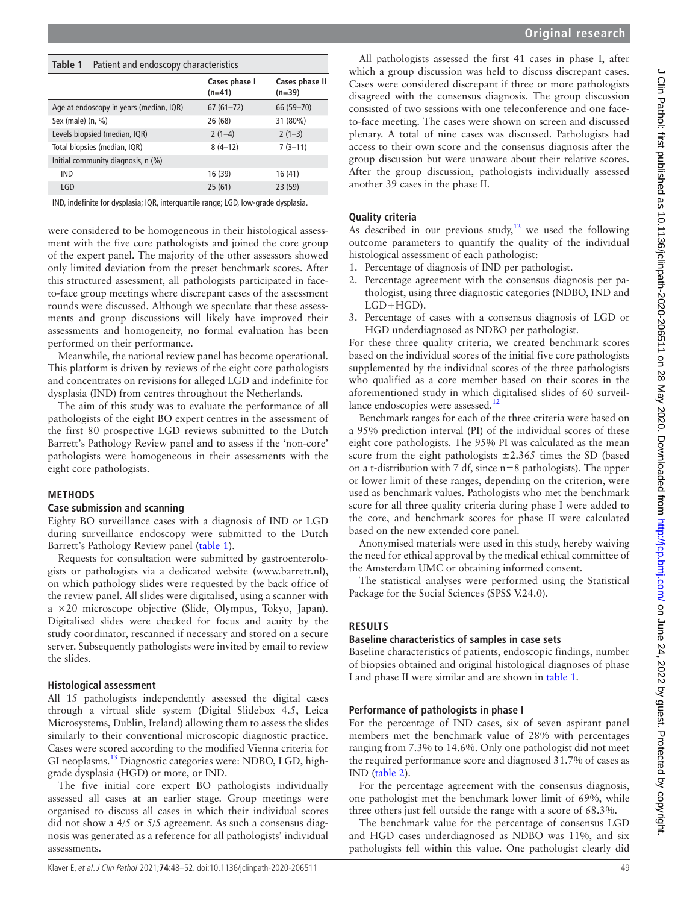<span id="page-1-0"></span>

| Table 1<br>Patient and endoscopy characteristics |                           |                            |  |  |
|--------------------------------------------------|---------------------------|----------------------------|--|--|
|                                                  | Cases phase I<br>$(n=41)$ | Cases phase II<br>$(n=39)$ |  |  |
| Age at endoscopy in years (median, IQR)          | $67(61 - 72)$             | 66 (59-70)                 |  |  |
| Sex (male) $(n, %)$                              | 26 (68)                   | 31 (80%)                   |  |  |
| Levels biopsied (median, IQR)                    | $2(1-4)$                  | $2(1-3)$                   |  |  |
| Total biopsies (median, IQR)                     | $8(4-12)$                 | $7(3-11)$                  |  |  |
| Initial community diagnosis, n (%)               |                           |                            |  |  |
| <b>IND</b>                                       | 16 (39)                   | 16(41)                     |  |  |
| LGD                                              | 25(61)                    | 23 (59)                    |  |  |

IND, indefinite for dysplasia; IQR, interquartile range; LGD, low-grade dysplasia.

were considered to be homogeneous in their histological assessment with the five core pathologists and joined the core group of the expert panel. The majority of the other assessors showed only limited deviation from the preset benchmark scores. After this structured assessment, all pathologists participated in faceto-face group meetings where discrepant cases of the assessment rounds were discussed. Although we speculate that these assessments and group discussions will likely have improved their assessments and homogeneity, no formal evaluation has been performed on their performance.

Meanwhile, the national review panel has become operational. This platform is driven by reviews of the eight core pathologists and concentrates on revisions for alleged LGD and indefinite for dysplasia (IND) from centres throughout the Netherlands.

The aim of this study was to evaluate the performance of all pathologists of the eight BO expert centres in the assessment of the first 80 prospective LGD reviews submitted to the Dutch Barrett's Pathology Review panel and to assess if the 'non-core' pathologists were homogeneous in their assessments with the eight core pathologists.

#### **Methods**

#### **Case submission and scanning**

Eighty BO surveillance cases with a diagnosis of IND or LGD during surveillance endoscopy were submitted to the Dutch Barrett's Pathology Review panel ([table](#page-1-0) 1).

Requests for consultation were submitted by gastroenterologists or pathologists via a dedicated website [\(www.barrett.nl](www.barrett.nl)), on which pathology slides were requested by the back office of the review panel. All slides were digitalised, using a scanner with a ×20 microscope objective (Slide, Olympus, Tokyo, Japan). Digitalised slides were checked for focus and acuity by the study coordinator, rescanned if necessary and stored on a secure server. Subsequently pathologists were invited by email to review the slides.

#### **Histological assessment**

All 15 pathologists independently assessed the digital cases through a virtual slide system (Digital Slidebox 4.5, Leica Microsystems, Dublin, Ireland) allowing them to assess the slides similarly to their conventional microscopic diagnostic practice. Cases were scored according to the modified Vienna criteria for GI neoplasms.<sup>[13](#page-4-5)</sup> Diagnostic categories were: NDBO, LGD, highgrade dysplasia (HGD) or more, or IND.

The five initial core expert BO pathologists individually assessed all cases at an earlier stage. Group meetings were organised to discuss all cases in which their individual scores did not show a 4/5 or 5/5 agreement. As such a consensus diagnosis was generated as a reference for all pathologists' individual assessments.

All pathologists assessed the first 41 cases in phase I, after which a group discussion was held to discuss discrepant cases. Cases were considered discrepant if three or more pathologists disagreed with the consensus diagnosis. The group discussion consisted of two sessions with one teleconference and one faceto-face meeting. The cases were shown on screen and discussed plenary. A total of nine cases was discussed. Pathologists had access to their own score and the consensus diagnosis after the group discussion but were unaware about their relative scores. After the group discussion, pathologists individually assessed another 39 cases in the phase II.

#### **Quality criteria**

As described in our previous study, $12$  we used the following outcome parameters to quantify the quality of the individual histological assessment of each pathologist:

- 1. Percentage of diagnosis of IND per pathologist.
- 2. Percentage agreement with the consensus diagnosis per pathologist, using three diagnostic categories (NDBO, IND and LGD+HGD).
- 3. Percentage of cases with a consensus diagnosis of LGD or HGD underdiagnosed as NDBO per pathologist.

For these three quality criteria, we created benchmark scores based on the individual scores of the initial five core pathologists supplemented by the individual scores of the three pathologists who qualified as a core member based on their scores in the aforementioned study in which digitalised slides of 60 surveil-lance endoscopies were assessed.<sup>[12](#page-4-4)</sup>

Benchmark ranges for each of the three criteria were based on a 95% prediction interval (PI) of the individual scores of these eight core pathologists. The 95% PI was calculated as the mean score from the eight pathologists  $\pm 2.365$  times the SD (based on a t-distribution with 7 df, since n=8 pathologists). The upper or lower limit of these ranges, depending on the criterion, were used as benchmark values. Pathologists who met the benchmark score for all three quality criteria during phase I were added to the core, and benchmark scores for phase II were calculated based on the new extended core panel.

Anonymised materials were used in this study, hereby waiving the need for ethical approval by the medical ethical committee of the Amsterdam UMC or obtaining informed consent.

The statistical analyses were performed using the Statistical Package for the Social Sciences (SPSS V.24.0).

#### **Results**

#### **Baseline characteristics of samples in case sets**

Baseline characteristics of patients, endoscopic findings, number of biopsies obtained and original histological diagnoses of phase I and phase II were similar and are shown in [table](#page-1-0) 1.

#### **Performance of pathologists in phase I**

For the percentage of IND cases, six of seven aspirant panel members met the benchmark value of 28% with percentages ranging from 7.3% to 14.6%. Only one pathologist did not meet the required performance score and diagnosed 31.7% of cases as IND ([table](#page-2-0) 2).

For the percentage agreement with the consensus diagnosis, one pathologist met the benchmark lower limit of 69%, while three others just fell outside the range with a score of 68.3%.

The benchmark value for the percentage of consensus LGD and HGD cases underdiagnosed as NDBO was 11%, and six pathologists fell within this value. One pathologist clearly did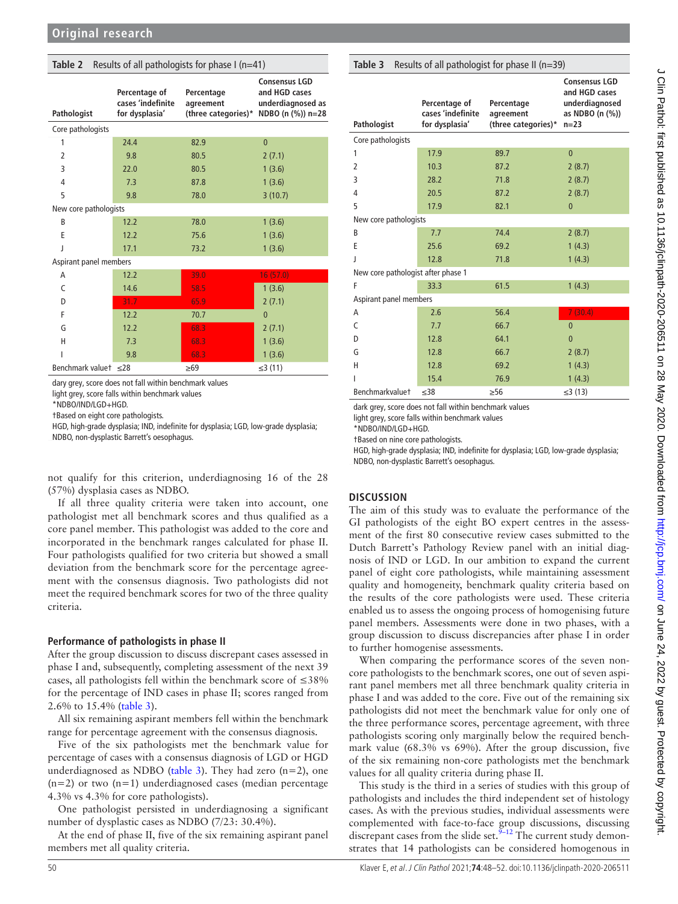<span id="page-2-0"></span>

| Results of all pathologists for phase I (n=41)<br>Table 2 |                                                      |                                                |                                                                                 |  |  |
|-----------------------------------------------------------|------------------------------------------------------|------------------------------------------------|---------------------------------------------------------------------------------|--|--|
| Pathologist                                               | Percentage of<br>cases 'indefinite<br>for dysplasia' | Percentage<br>agreement<br>(three categories)* | <b>Consensus LGD</b><br>and HGD cases<br>underdiagnosed as<br>NDBO (n (%)) n=28 |  |  |
| Core pathologists                                         |                                                      |                                                |                                                                                 |  |  |
| 1                                                         | 24.4                                                 | 82.9                                           | $\overline{0}$                                                                  |  |  |
| 2                                                         | 9.8                                                  | 80.5                                           | 2(7.1)                                                                          |  |  |
| 3                                                         | 22.0                                                 | 80.5                                           | 1(3.6)                                                                          |  |  |
| $\overline{4}$                                            | 7.3                                                  | 87.8                                           | 1(3.6)                                                                          |  |  |
| 5                                                         | 9.8                                                  | 78.0                                           | 3(10.7)                                                                         |  |  |
| New core pathologists                                     |                                                      |                                                |                                                                                 |  |  |
| B                                                         | 12.2                                                 | 78.0                                           | 1(3.6)                                                                          |  |  |
| E                                                         | 12.2                                                 | 75.6                                           | 1(3.6)                                                                          |  |  |
| J                                                         | 17.1                                                 | 73.2                                           | 1(3.6)                                                                          |  |  |
| Aspirant panel members                                    |                                                      |                                                |                                                                                 |  |  |
| A                                                         | 12.2                                                 | 39.0                                           | 16(57.0)                                                                        |  |  |
| C                                                         | 14.6                                                 | 58.5                                           | 1(3.6)                                                                          |  |  |
| D                                                         | 31.7                                                 | 65.9                                           | 2(7.1)                                                                          |  |  |
| F                                                         | 12.2                                                 | 70.7                                           | $\overline{0}$                                                                  |  |  |
| G                                                         | 12.2                                                 | 68.3                                           | 2(7.1)                                                                          |  |  |
| H                                                         | 7.3                                                  | 68.3                                           | 1(3.6)                                                                          |  |  |
|                                                           | 9.8                                                  | 68.3                                           | 1(3.6)                                                                          |  |  |
| Benchmark valuet $\leq 28$                                |                                                      | $\geq 69$                                      | ≤3(11)                                                                          |  |  |

dary grey, score does not fall within benchmark values

light grey, score falls within benchmark values

\*NDBO/IND/LGD+HGD.

†Based on eight core pathologists.

HGD, high-grade dysplasia; IND, indefinite for dysplasia; LGD, low-grade dysplasia; NDBO, non-dysplastic Barrett's oesophagus.

not qualify for this criterion, underdiagnosing 16 of the 28 (57%) dysplasia cases as NDBO.

If all three quality criteria were taken into account, one pathologist met all benchmark scores and thus qualified as a core panel member. This pathologist was added to the core and incorporated in the benchmark ranges calculated for phase II. Four pathologists qualified for two criteria but showed a small deviation from the benchmark score for the percentage agreement with the consensus diagnosis. Two pathologists did not meet the required benchmark scores for two of the three quality criteria.

#### **Performance of pathologists in phase II**

After the group discussion to discuss discrepant cases assessed in phase I and, subsequently, completing assessment of the next 39 cases, all pathologists fell within the benchmark score of ≤38% for the percentage of IND cases in phase II; scores ranged from 2.6% to 15.4% ([table](#page-2-1) 3).

All six remaining aspirant members fell within the benchmark range for percentage agreement with the consensus diagnosis.

Five of the six pathologists met the benchmark value for percentage of cases with a consensus diagnosis of LGD or HGD underdiagnosed as NDBO [\(table](#page-2-1) 3). They had zero  $(n=2)$ , one  $(n=2)$  or two  $(n=1)$  underdiagnosed cases (median percentage 4.3% vs 4.3% for core pathologists).

One pathologist persisted in underdiagnosing a significant number of dysplastic cases as NDBO (7/23: 30.4%).

At the end of phase II, five of the six remaining aspirant panel members met all quality criteria.

<span id="page-2-1"></span>

| Table 3<br>Results of all pathologist for phase II (n=39) |                                                      |                                                |                                                                                      |  |  |
|-----------------------------------------------------------|------------------------------------------------------|------------------------------------------------|--------------------------------------------------------------------------------------|--|--|
| Pathologist                                               | Percentage of<br>cases 'indefinite<br>for dysplasia' | Percentage<br>agreement<br>(three categories)* | <b>Consensus LGD</b><br>and HGD cases<br>underdiagnosed<br>as NDBO (n (%))<br>$n=23$ |  |  |
| Core pathologists                                         |                                                      |                                                |                                                                                      |  |  |
| 1                                                         | 17.9                                                 | 89.7                                           | $\overline{0}$                                                                       |  |  |
| $\overline{2}$                                            | 10.3                                                 | 87.2                                           | 2(8.7)                                                                               |  |  |
| 3                                                         | 28.2                                                 | 71.8                                           | 2(8.7)                                                                               |  |  |
| 4                                                         | 20.5                                                 | 87.2                                           | 2(8.7)                                                                               |  |  |
| 5                                                         | 17.9                                                 | 82.1                                           | $\mathbf{0}$                                                                         |  |  |
| New core pathologists                                     |                                                      |                                                |                                                                                      |  |  |
| B                                                         | 7.7                                                  | 74.4                                           | 2(8.7)                                                                               |  |  |
| F                                                         | 25.6                                                 | 69.2                                           | 1(4.3)                                                                               |  |  |
| J                                                         | 12.8                                                 | 71.8                                           | 1(4.3)                                                                               |  |  |
| New core pathologist after phase 1                        |                                                      |                                                |                                                                                      |  |  |
| F                                                         | 33.3                                                 | 61.5                                           | 1(4.3)                                                                               |  |  |
| Aspirant panel members                                    |                                                      |                                                |                                                                                      |  |  |
| A                                                         | 2.6                                                  | 56.4                                           | 7(30.4)                                                                              |  |  |
| C                                                         | 7.7                                                  | 66.7                                           | $\overline{0}$                                                                       |  |  |
| D                                                         | 12.8                                                 | 64.1                                           | $\overline{0}$                                                                       |  |  |
| G                                                         | 12.8                                                 | 66.7                                           | 2(8.7)                                                                               |  |  |
| H                                                         | 12.8                                                 | 69.2                                           | 1(4.3)                                                                               |  |  |
| ı                                                         | 15.4                                                 | 76.9                                           | 1(4.3)                                                                               |  |  |
| Benchmarkvaluet                                           | $\leq 38$                                            | $\geq 56$                                      | ≤3 $(13)$                                                                            |  |  |

dark grey, score does not fall within benchmark values

light grey, score falls within benchmark values

\*NDBO/IND/LGD+HGD.

†Based on nine core pathologists.

HGD, high-grade dysplasia; IND, indefinite for dysplasia; LGD, low-grade dysplasia; NDBO, non-dysplastic Barrett's oesophagus.

#### **Discussion**

The aim of this study was to evaluate the performance of the GI pathologists of the eight BO expert centres in the assessment of the first 80 consecutive review cases submitted to the Dutch Barrett's Pathology Review panel with an initial diagnosis of IND or LGD. In our ambition to expand the current panel of eight core pathologists, while maintaining assessment quality and homogeneity, benchmark quality criteria based on the results of the core pathologists were used. These criteria enabled us to assess the ongoing process of homogenising future panel members. Assessments were done in two phases, with a group discussion to discuss discrepancies after phase I in order to further homogenise assessments.

When comparing the performance scores of the seven noncore pathologists to the benchmark scores, one out of seven aspirant panel members met all three benchmark quality criteria in phase I and was added to the core. Five out of the remaining six pathologists did not meet the benchmark value for only one of the three performance scores, percentage agreement, with three pathologists scoring only marginally below the required benchmark value (68.3% vs 69%). After the group discussion, five of the six remaining non-core pathologists met the benchmark values for all quality criteria during phase II.

This study is the third in a series of studies with this group of pathologists and includes the third independent set of histology cases. As with the previous studies, individual assessments were complemented with face-to-face group discussions, discussing discrepant cases from the slide set. $9-12$  The current study demonstrates that 14 pathologists can be considered homogenous in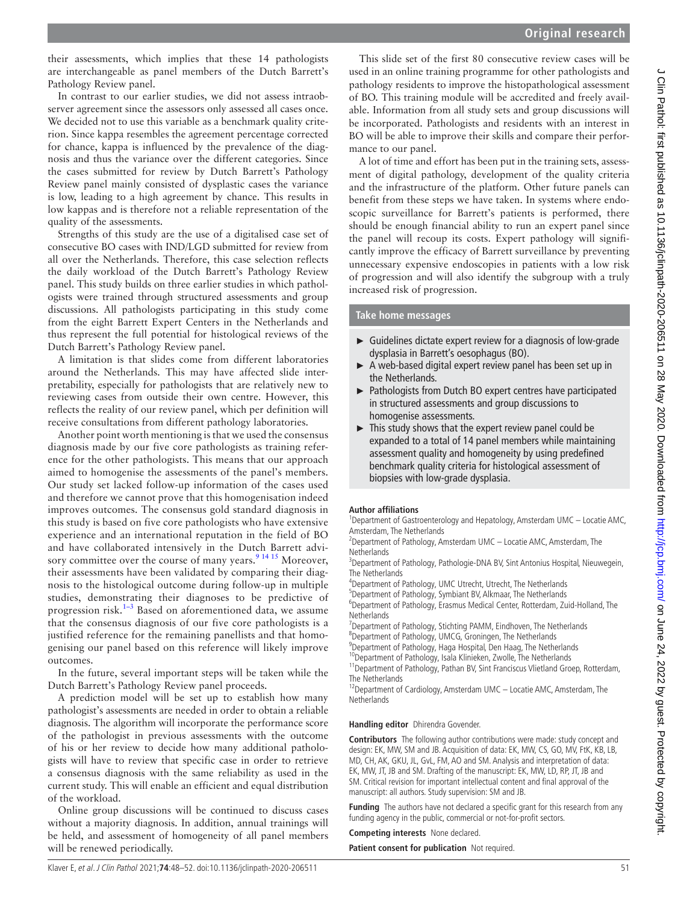their assessments, which implies that these 14 pathologists are interchangeable as panel members of the Dutch Barrett's Pathology Review panel.

In contrast to our earlier studies, we did not assess intraobserver agreement since the assessors only assessed all cases once. We decided not to use this variable as a benchmark quality criterion. Since kappa resembles the agreement percentage corrected for chance, kappa is influenced by the prevalence of the diagnosis and thus the variance over the different categories. Since the cases submitted for review by Dutch Barrett's Pathology Review panel mainly consisted of dysplastic cases the variance is low, leading to a high agreement by chance. This results in low kappas and is therefore not a reliable representation of the quality of the assessments.

Strengths of this study are the use of a digitalised case set of consecutive BO cases with IND/LGD submitted for review from all over the Netherlands. Therefore, this case selection reflects the daily workload of the Dutch Barrett's Pathology Review panel. This study builds on three earlier studies in which pathologists were trained through structured assessments and group discussions. All pathologists participating in this study come from the eight Barrett Expert Centers in the Netherlands and thus represent the full potential for histological reviews of the Dutch Barrett's Pathology Review panel.

A limitation is that slides come from different laboratories around the Netherlands. This may have affected slide interpretability, especially for pathologists that are relatively new to reviewing cases from outside their own centre. However, this reflects the reality of our review panel, which per definition will receive consultations from different pathology laboratories.

Another point worth mentioning is that we used the consensus diagnosis made by our five core pathologists as training reference for the other pathologists. This means that our approach aimed to homogenise the assessments of the panel's members. Our study set lacked follow-up information of the cases used and therefore we cannot prove that this homogenisation indeed improves outcomes. The consensus gold standard diagnosis in this study is based on five core pathologists who have extensive experience and an international reputation in the field of BO and have collaborated intensively in the Dutch Barrett advisory committee over the course of many years.  $9^{14}$  15 Moreover, their assessments have been validated by comparing their diagnosis to the histological outcome during follow-up in multiple studies, demonstrating their diagnoses to be predictive of progression risk. $1-3$  Based on aforementioned data, we assume that the consensus diagnosis of our five core pathologists is a justified reference for the remaining panellists and that homogenising our panel based on this reference will likely improve outcomes.

In the future, several important steps will be taken while the Dutch Barrett's Pathology Review panel proceeds.

A prediction model will be set up to establish how many pathologist's assessments are needed in order to obtain a reliable diagnosis. The algorithm will incorporate the performance score of the pathologist in previous assessments with the outcome of his or her review to decide how many additional pathologists will have to review that specific case in order to retrieve a consensus diagnosis with the same reliability as used in the current study. This will enable an efficient and equal distribution of the workload.

Online group discussions will be continued to discuss cases without a majority diagnosis. In addition, annual trainings will be held, and assessment of homogeneity of all panel members will be renewed periodically.

This slide set of the first 80 consecutive review cases will be used in an online training programme for other pathologists and pathology residents to improve the histopathological assessment of BO. This training module will be accredited and freely available. Information from all study sets and group discussions will be incorporated. Pathologists and residents with an interest in BO will be able to improve their skills and compare their performance to our panel.

A lot of time and effort has been put in the training sets, assessment of digital pathology, development of the quality criteria and the infrastructure of the platform. Other future panels can benefit from these steps we have taken. In systems where endoscopic surveillance for Barrett's patients is performed, there should be enough financial ability to run an expert panel since the panel will recoup its costs. Expert pathology will significantly improve the efficacy of Barrett surveillance by preventing unnecessary expensive endoscopies in patients with a low risk of progression and will also identify the subgroup with a truly increased risk of progression.

**Take home messages**

- ► Guidelines dictate expert review for a diagnosis of low-grade dysplasia in Barrett's oesophagus (BO).
- ► A web-based digital expert review panel has been set up in the Netherlands.
- ► Pathologists from Dutch BO expert centres have participated in structured assessments and group discussions to homogenise assessments.
- ► This study shows that the expert review panel could be expanded to a total of 14 panel members while maintaining assessment quality and homogeneity by using predefined benchmark quality criteria for histological assessment of biopsies with low-grade dysplasia.

#### **Author affiliations**

<sup>1</sup>Department of Gastroenterology and Hepatology, Amsterdam UMC - Locatie AMC, Amsterdam, The Netherlands

<sup>2</sup> Department of Pathology, Amsterdam UMC  $-$  Locatie AMC, Amsterdam, The **Netherlands** 

<sup>3</sup>Department of Pathology, Pathologie-DNA BV, Sint Antonius Hospital, Nieuwegein, The Netherlands

<sup>4</sup>Department of Pathology, UMC Utrecht, Utrecht, The Netherlands

<sup>5</sup>Department of Pathology, Symbiant BV, Alkmaar, The Netherlands

6 Department of Pathology, Erasmus Medical Center, Rotterdam, Zuid-Holland, The **Netherlands** 

<sup>7</sup>Department of Pathology, Stichting PAMM, Eindhoven, The Netherlands

8 Department of Pathology, UMCG, Groningen, The Netherlands

<sup>9</sup>Department of Pathology, Haga Hospital, Den Haag, The Netherlands

<sup>10</sup>Department of Pathology, Isala Klinieken, Zwolle, The Netherlands

<sup>11</sup>Department of Pathology, Pathan BV, Sint Franciscus Vlietland Groep, Rotterdam, The Netherlands

<sup>12</sup>Department of Cardiology, Amsterdam UMC – Locatie AMC, Amsterdam, The **Netherlands** 

#### **Handling editor** Dhirendra Govender.

**Contributors** The following author contributions were made: study concept and design: EK, MW, SM and JB. Acquisition of data: EK, MW, CS, GO, MV, FtK, KB, LB, MD, CH, AK, GKU, JL, GvL, FM, AO and SM. Analysis and interpretation of data: EK, MW, JT, JB and SM. Drafting of the manuscript: EK, MW, LD, RP, JT, JB and SM. Critical revision for important intellectual content and final approval of the manuscript: all authors. Study supervision: SM and JB.

**Funding** The authors have not declared a specific grant for this research from any funding agency in the public, commercial or not-for-profit sectors.

#### **Competing interests** None declared.

**Patient consent for publication** Not required.